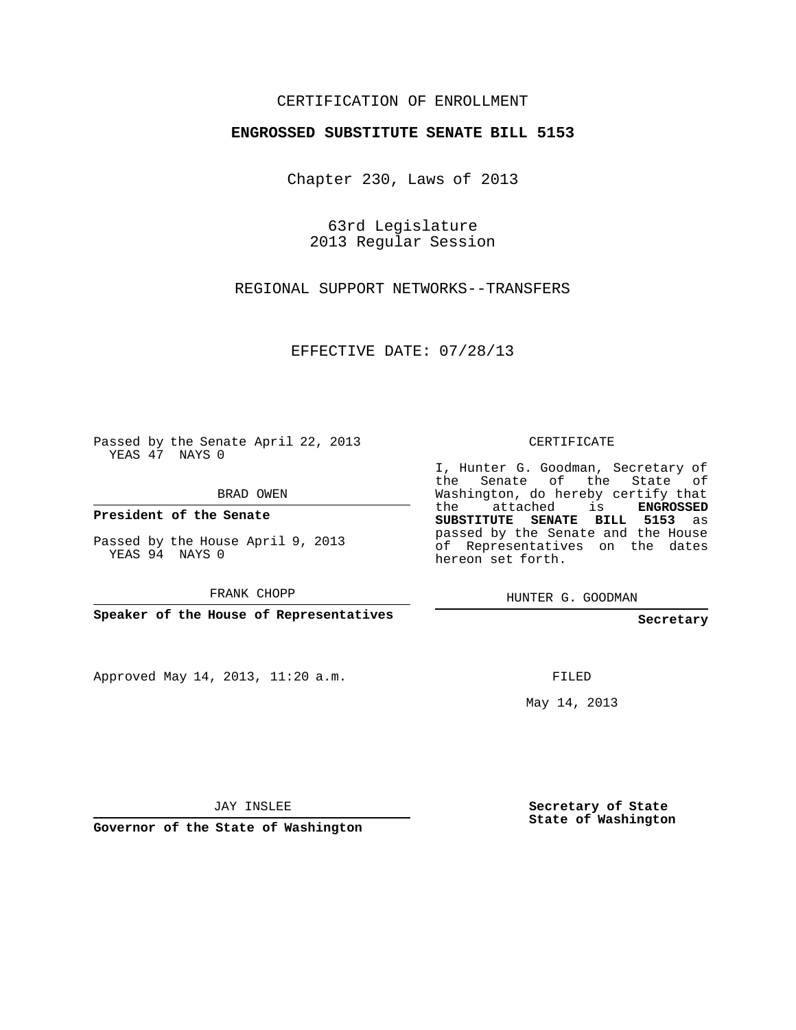## CERTIFICATION OF ENROLLMENT

## **ENGROSSED SUBSTITUTE SENATE BILL 5153**

Chapter 230, Laws of 2013

63rd Legislature 2013 Regular Session

REGIONAL SUPPORT NETWORKS--TRANSFERS

EFFECTIVE DATE: 07/28/13

Passed by the Senate April 22, 2013 YEAS 47 NAYS 0

BRAD OWEN

**President of the Senate**

Passed by the House April 9, 2013 YEAS 94 NAYS 0

FRANK CHOPP

**Speaker of the House of Representatives**

Approved May 14, 2013, 11:20 a.m.

CERTIFICATE

I, Hunter G. Goodman, Secretary of the Senate of the State of Washington, do hereby certify that the attached is **ENGROSSED SUBSTITUTE SENATE BILL 5153** as passed by the Senate and the House of Representatives on the dates hereon set forth.

HUNTER G. GOODMAN

**Secretary**

FILED

May 14, 2013

JAY INSLEE

**Governor of the State of Washington**

**Secretary of State State of Washington**